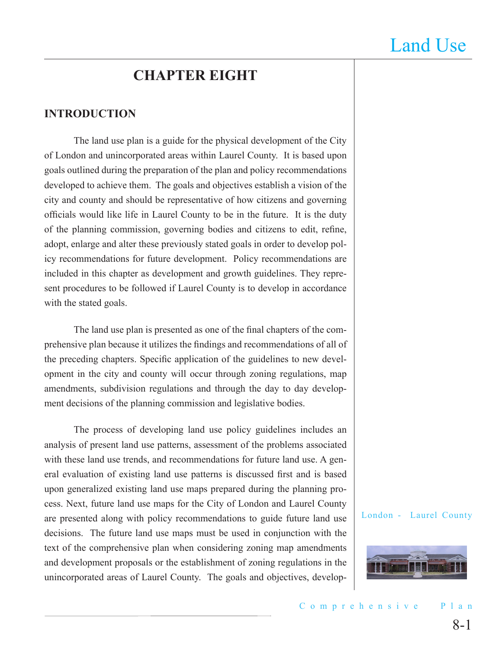## **CHAPTER EIGHT**

#### **INTRODUCTION**

The land use plan is a guide for the physical development of the City of London and unincorporated areas within Laurel County. It is based upon goals outlined during the preparation of the plan and policy recommendations developed to achieve them. The goals and objectives establish a vision of the city and county and should be representative of how citizens and governing officials would like life in Laurel County to be in the future. It is the duty of the planning commission, governing bodies and citizens to edit, refine, adopt, enlarge and alter these previously stated goals in order to develop policy recommendations for future development. Policy recommendations are included in this chapter as development and growth guidelines. They represent procedures to be followed if Laurel County is to develop in accordance with the stated goals.

The land use plan is presented as one of the final chapters of the comprehensive plan because it utilizes the findings and recommendations of all of the preceding chapters. Specific application of the guidelines to new development in the city and county will occur through zoning regulations, map amendments, subdivision regulations and through the day to day development decisions of the planning commission and legislative bodies.

The process of developing land use policy guidelines includes an analysis of present land use patterns, assessment of the problems associated with these land use trends, and recommendations for future land use. A general evaluation of existing land use patterns is discussed first and is based upon generalized existing land use maps prepared during the planning process. Next, future land use maps for the City of London and Laurel County are presented along with policy recommendations to guide future land use decisions. The future land use maps must be used in conjunction with the text of the comprehensive plan when considering zoning map amendments and development proposals or the establishment of zoning regulations in the unincorporated areas of Laurel County. The goals and objectives, develop-

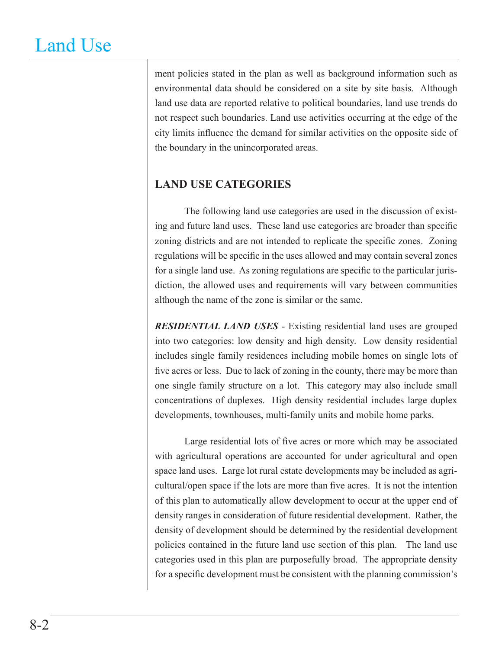ment policies stated in the plan as well as background information such as environmental data should be considered on a site by site basis. Although land use data are reported relative to political boundaries, land use trends do not respect such boundaries. Land use activities occurring at the edge of the city limits influence the demand for similar activities on the opposite side of the boundary in the unincorporated areas.

### **LAND USE CATEGORIES**

The following land use categories are used in the discussion of existing and future land uses. These land use categories are broader than specific zoning districts and are not intended to replicate the specific zones. Zoning regulations will be specific in the uses allowed and may contain several zones for a single land use. As zoning regulations are specific to the particular jurisdiction, the allowed uses and requirements will vary between communities although the name of the zone is similar or the same.

*RESIDENTIAL LAND USES* - Existing residential land uses are grouped into two categories: low density and high density. Low density residential includes single family residences including mobile homes on single lots of five acres or less. Due to lack of zoning in the county, there may be more than one single family structure on a lot. This category may also include small concentrations of duplexes. High density residential includes large duplex developments, townhouses, multi-family units and mobile home parks.

Large residential lots of five acres or more which may be associated with agricultural operations are accounted for under agricultural and open space land uses. Large lot rural estate developments may be included as agricultural/open space if the lots are more than five acres. It is not the intention of this plan to automatically allow development to occur at the upper end of density ranges in consideration of future residential development. Rather, the density of development should be determined by the residential development policies contained in the future land use section of this plan. The land use categories used in this plan are purposefully broad. The appropriate density for a specific development must be consistent with the planning commission's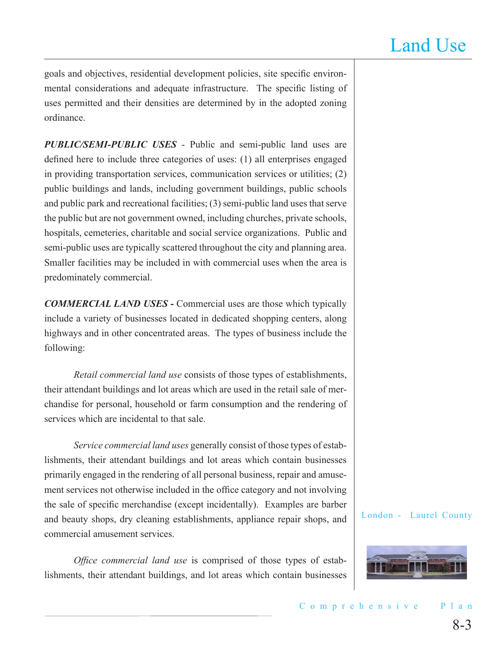goals and objectives, residential development policies, site specific environmental considerations and adequate infrastructure. The specific listing of uses permitted and their densities are determined by in the adopted zoning ordinance.

*PUBLIC/SEMI-PUBLIC USES* - Public and semi-public land uses are defined here to include three categories of uses: (1) all enterprises engaged in providing transportation services, communication services or utilities; (2) public buildings and lands, including government buildings, public schools and public park and recreational facilities; (3) semi-public land uses that serve the public but are not government owned, including churches, private schools, hospitals, cemeteries, charitable and social service organizations. Public and semi-public uses are typically scattered throughout the city and planning area. Smaller facilities may be included in with commercial uses when the area is predominately commercial.

**COMMERCIAL LAND USES** - Commercial uses are those which typically include a variety of businesses located in dedicated shopping centers, along highways and in other concentrated areas. The types of business include the following:

*Retail commercial land use* consists of those types of establishments, their attendant buildings and lot areas which are used in the retail sale of merchandise for personal, household or farm consumption and the rendering of services which are incidental to that sale.

*Service commercial land uses* generally consist of those types of establishments, their attendant buildings and lot areas which contain businesses primarily engaged in the rendering of all personal business, repair and amusement services not otherwise included in the office category and not involving the sale of specific merchandise (except incidentally). Examples are barber and beauty shops, dry cleaning establishments, appliance repair shops, and commercial amusement services.

*Office commercial land use* is comprised of those types of establishments, their attendant buildings, and lot areas which contain businesses

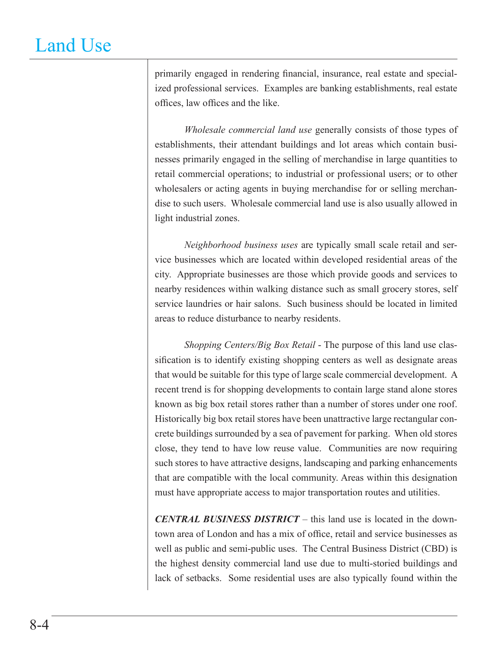primarily engaged in rendering financial, insurance, real estate and specialized professional services. Examples are banking establishments, real estate offices, law offices and the like.

*Wholesale commercial land use* generally consists of those types of establishments, their attendant buildings and lot areas which contain businesses primarily engaged in the selling of merchandise in large quantities to retail commercial operations; to industrial or professional users; or to other wholesalers or acting agents in buying merchandise for or selling merchandise to such users. Wholesale commercial land use is also usually allowed in light industrial zones.

*Neighborhood business uses* are typically small scale retail and service businesses which are located within developed residential areas of the city. Appropriate businesses are those which provide goods and services to nearby residences within walking distance such as small grocery stores, self service laundries or hair salons. Such business should be located in limited areas to reduce disturbance to nearby residents.

*Shopping Centers/Big Box Retail* - The purpose of this land use classification is to identify existing shopping centers as well as designate areas that would be suitable for this type of large scale commercial development. A recent trend is for shopping developments to contain large stand alone stores known as big box retail stores rather than a number of stores under one roof. Historically big box retail stores have been unattractive large rectangular concrete buildings surrounded by a sea of pavement for parking. When old stores close, they tend to have low reuse value. Communities are now requiring such stores to have attractive designs, landscaping and parking enhancements that are compatible with the local community. Areas within this designation must have appropriate access to major transportation routes and utilities.

*CENTRAL BUSINESS DISTRICT* – this land use is located in the downtown area of London and has a mix of office, retail and service businesses as well as public and semi-public uses. The Central Business District (CBD) is the highest density commercial land use due to multi-storied buildings and lack of setbacks. Some residential uses are also typically found within the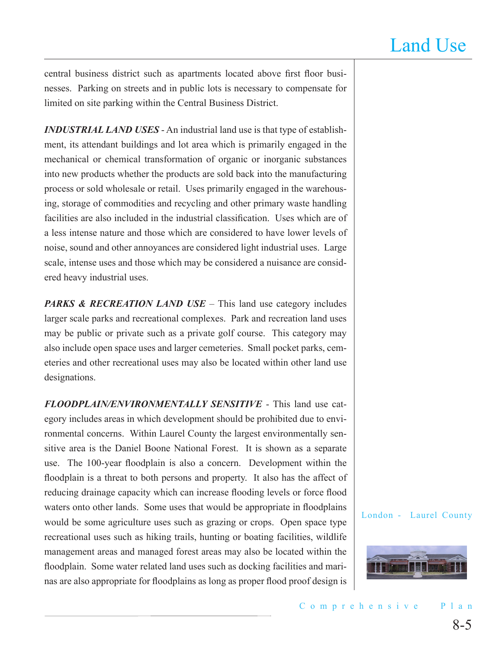central business district such as apartments located above first floor businesses. Parking on streets and in public lots is necessary to compensate for limited on site parking within the Central Business District.

*INDUSTRIAL LAND USES* - An industrial land use is that type of establishment, its attendant buildings and lot area which is primarily engaged in the mechanical or chemical transformation of organic or inorganic substances into new products whether the products are sold back into the manufacturing process or sold wholesale or retail. Uses primarily engaged in the warehousing, storage of commodities and recycling and other primary waste handling facilities are also included in the industrial classification. Uses which are of a less intense nature and those which are considered to have lower levels of noise, sound and other annoyances are considered light industrial uses. Large scale, intense uses and those which may be considered a nuisance are considered heavy industrial uses.

*PARKS & RECREATION LAND USE* – This land use category includes larger scale parks and recreational complexes. Park and recreation land uses may be public or private such as a private golf course. This category may also include open space uses and larger cemeteries. Small pocket parks, cemeteries and other recreational uses may also be located within other land use designations.

*FLOODPLAIN/ENVIRONMENTALLY SENSITIVE* - This land use category includes areas in which development should be prohibited due to environmental concerns. Within Laurel County the largest environmentally sensitive area is the Daniel Boone National Forest. It is shown as a separate use. The 100-year floodplain is also a concern. Development within the floodplain is a threat to both persons and property. It also has the affect of reducing drainage capacity which can increase flooding levels or force flood waters onto other lands. Some uses that would be appropriate in floodplains would be some agriculture uses such as grazing or crops. Open space type recreational uses such as hiking trails, hunting or boating facilities, wildlife management areas and managed forest areas may also be located within the floodplain. Some water related land uses such as docking facilities and marinas are also appropriate for floodplains as long as proper flood proof design is

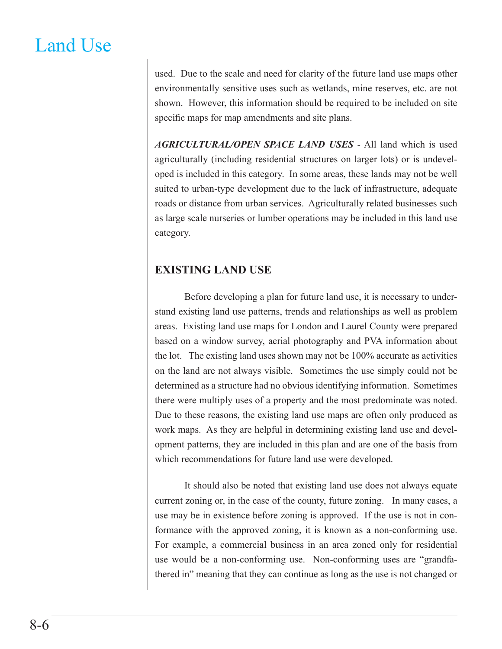used. Due to the scale and need for clarity of the future land use maps other environmentally sensitive uses such as wetlands, mine reserves, etc. are not shown. However, this information should be required to be included on site specific maps for map amendments and site plans.

*AGRICULTURAL/OPEN SPACE LAND USES* - All land which is used agriculturally (including residential structures on larger lots) or is undeveloped is included in this category. In some areas, these lands may not be well suited to urban-type development due to the lack of infrastructure, adequate roads or distance from urban services. Agriculturally related businesses such as large scale nurseries or lumber operations may be included in this land use category.

### **EXISTING LAND USE**

Before developing a plan for future land use, it is necessary to understand existing land use patterns, trends and relationships as well as problem areas. Existing land use maps for London and Laurel County were prepared based on a window survey, aerial photography and PVA information about the lot. The existing land uses shown may not be 100% accurate as activities on the land are not always visible. Sometimes the use simply could not be determined as a structure had no obvious identifying information. Sometimes there were multiply uses of a property and the most predominate was noted. Due to these reasons, the existing land use maps are often only produced as work maps. As they are helpful in determining existing land use and development patterns, they are included in this plan and are one of the basis from which recommendations for future land use were developed.

It should also be noted that existing land use does not always equate current zoning or, in the case of the county, future zoning. In many cases, a use may be in existence before zoning is approved. If the use is not in conformance with the approved zoning, it is known as a non-conforming use. For example, a commercial business in an area zoned only for residential use would be a non-conforming use. Non-conforming uses are "grandfathered in" meaning that they can continue as long as the use is not changed or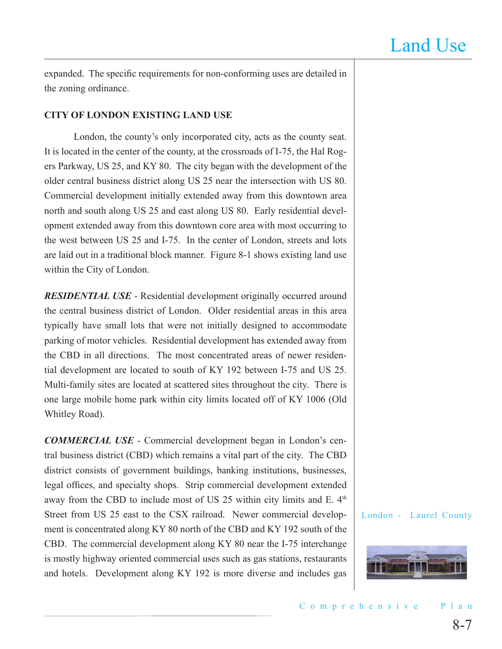expanded. The specific requirements for non-conforming uses are detailed in the zoning ordinance.

#### **CITY OF LONDON EXISTING LAND USE**

London, the county's only incorporated city, acts as the county seat. It is located in the center of the county, at the crossroads of I-75, the Hal Rogers Parkway, US 25, and KY 80. The city began with the development of the older central business district along US 25 near the intersection with US 80. Commercial development initially extended away from this downtown area north and south along US 25 and east along US 80. Early residential development extended away from this downtown core area with most occurring to the west between US 25 and I-75. In the center of London, streets and lots are laid out in a traditional block manner. Figure 8-1 shows existing land use within the City of London.

*RESIDENTIAL USE* - Residential development originally occurred around the central business district of London. Older residential areas in this area typically have small lots that were not initially designed to accommodate parking of motor vehicles. Residential development has extended away from the CBD in all directions. The most concentrated areas of newer residential development are located to south of KY 192 between I-75 and US 25. Multi-family sites are located at scattered sites throughout the city. There is one large mobile home park within city limits located off of KY 1006 (Old Whitley Road).

*COMMERCIAL USE* - Commercial development began in London's central business district (CBD) which remains a vital part of the city. The CBD district consists of government buildings, banking institutions, businesses, legal offices, and specialty shops. Strip commercial development extended away from the CBD to include most of US 25 within city limits and E.  $4<sup>th</sup>$ Street from US 25 east to the CSX railroad. Newer commercial development is concentrated along KY 80 north of the CBD and KY 192 south of the CBD. The commercial development along KY 80 near the I-75 interchange is mostly highway oriented commercial uses such as gas stations, restaurants and hotels. Development along KY 192 is more diverse and includes gas

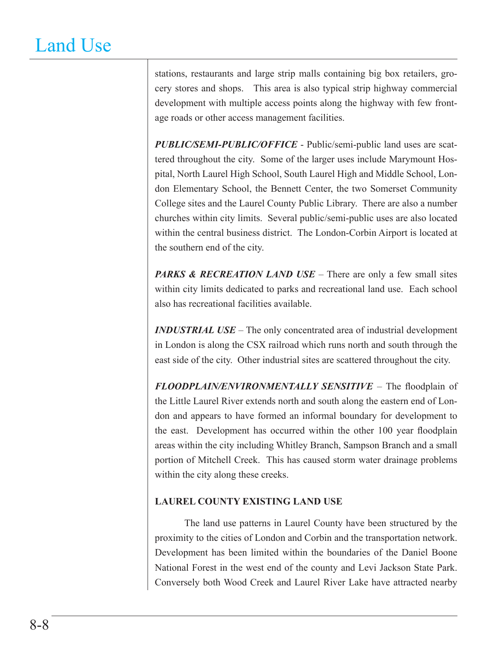stations, restaurants and large strip malls containing big box retailers, grocery stores and shops. This area is also typical strip highway commercial development with multiple access points along the highway with few frontage roads or other access management facilities.

*PUBLIC/SEMI-PUBLIC/OFFICE* - Public/semi-public land uses are scattered throughout the city. Some of the larger uses include Marymount Hospital, North Laurel High School, South Laurel High and Middle School, London Elementary School, the Bennett Center, the two Somerset Community College sites and the Laurel County Public Library. There are also a number churches within city limits. Several public/semi-public uses are also located within the central business district. The London-Corbin Airport is located at the southern end of the city.

*PARKS & RECREATION LAND USE* – There are only a few small sites within city limits dedicated to parks and recreational land use. Each school also has recreational facilities available.

*INDUSTRIAL USE* – The only concentrated area of industrial development in London is along the CSX railroad which runs north and south through the east side of the city. Other industrial sites are scattered throughout the city.

*FLOODPLAIN/ENVIRONMENTALLY SENSITIVE* – The floodplain of the Little Laurel River extends north and south along the eastern end of London and appears to have formed an informal boundary for development to the east. Development has occurred within the other 100 year floodplain areas within the city including Whitley Branch, Sampson Branch and a small portion of Mitchell Creek. This has caused storm water drainage problems within the city along these creeks.

#### **LAUREL COUNTY EXISTING LAND USE**

The land use patterns in Laurel County have been structured by the proximity to the cities of London and Corbin and the transportation network. Development has been limited within the boundaries of the Daniel Boone National Forest in the west end of the county and Levi Jackson State Park. Conversely both Wood Creek and Laurel River Lake have attracted nearby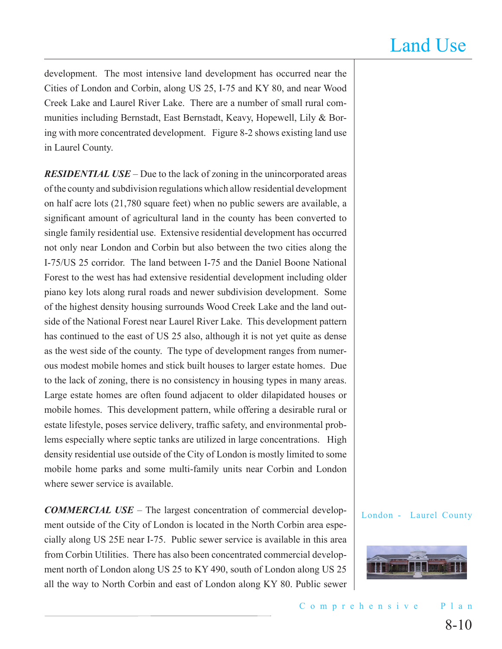development. The most intensive land development has occurred near the Cities of London and Corbin, along US 25, I-75 and KY 80, and near Wood Creek Lake and Laurel River Lake. There are a number of small rural communities including Bernstadt, East Bernstadt, Keavy, Hopewell, Lily & Boring with more concentrated development. Figure 8-2 shows existing land use in Laurel County.

*RESIDENTIAL USE* – Due to the lack of zoning in the unincorporated areas of the county and subdivision regulations which allow residential development on half acre lots (21,780 square feet) when no public sewers are available, a significant amount of agricultural land in the county has been converted to single family residential use. Extensive residential development has occurred not only near London and Corbin but also between the two cities along the I-75/US 25 corridor. The land between I-75 and the Daniel Boone National Forest to the west has had extensive residential development including older piano key lots along rural roads and newer subdivision development. Some of the highest density housing surrounds Wood Creek Lake and the land outside of the National Forest near Laurel River Lake. This development pattern has continued to the east of US 25 also, although it is not yet quite as dense as the west side of the county. The type of development ranges from numerous modest mobile homes and stick built houses to larger estate homes. Due to the lack of zoning, there is no consistency in housing types in many areas. Large estate homes are often found adjacent to older dilapidated houses or mobile homes. This development pattern, while offering a desirable rural or estate lifestyle, poses service delivery, traffic safety, and environmental problems especially where septic tanks are utilized in large concentrations. High density residential use outside of the City of London is mostly limited to some mobile home parks and some multi-family units near Corbin and London where sewer service is available.

*COMMERCIAL USE* – The largest concentration of commercial development outside of the City of London is located in the North Corbin area especially along US 25E near I-75. Public sewer service is available in this area from Corbin Utilities. There has also been concentrated commercial development north of London along US 25 to KY 490, south of London along US 25 all the way to North Corbin and east of London along KY 80. Public sewer

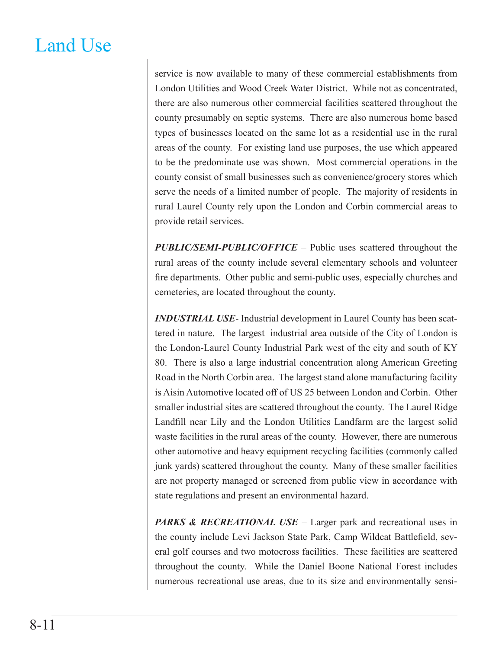service is now available to many of these commercial establishments from London Utilities and Wood Creek Water District. While not as concentrated, there are also numerous other commercial facilities scattered throughout the county presumably on septic systems. There are also numerous home based types of businesses located on the same lot as a residential use in the rural areas of the county. For existing land use purposes, the use which appeared to be the predominate use was shown. Most commercial operations in the county consist of small businesses such as convenience/grocery stores which serve the needs of a limited number of people. The majority of residents in rural Laurel County rely upon the London and Corbin commercial areas to provide retail services.

*PUBLIC/SEMI-PUBLIC/OFFICE* – Public uses scattered throughout the rural areas of the county include several elementary schools and volunteer fire departments. Other public and semi-public uses, especially churches and cemeteries, are located throughout the county.

*INDUSTRIAL USE*- Industrial development in Laurel County has been scattered in nature. The largest industrial area outside of the City of London is the London-Laurel County Industrial Park west of the city and south of KY 80. There is also a large industrial concentration along American Greeting Road in the North Corbin area. The largest stand alone manufacturing facility is Aisin Automotive located off of US 25 between London and Corbin. Other smaller industrial sites are scattered throughout the county. The Laurel Ridge Landfill near Lily and the London Utilities Landfarm are the largest solid waste facilities in the rural areas of the county. However, there are numerous other automotive and heavy equipment recycling facilities (commonly called junk yards) scattered throughout the county. Many of these smaller facilities are not property managed or screened from public view in accordance with state regulations and present an environmental hazard.

PARKS & RECREATIONAL USE – Larger park and recreational uses in the county include Levi Jackson State Park, Camp Wildcat Battlefield, several golf courses and two motocross facilities. These facilities are scattered throughout the county. While the Daniel Boone National Forest includes numerous recreational use areas, due to its size and environmentally sensi-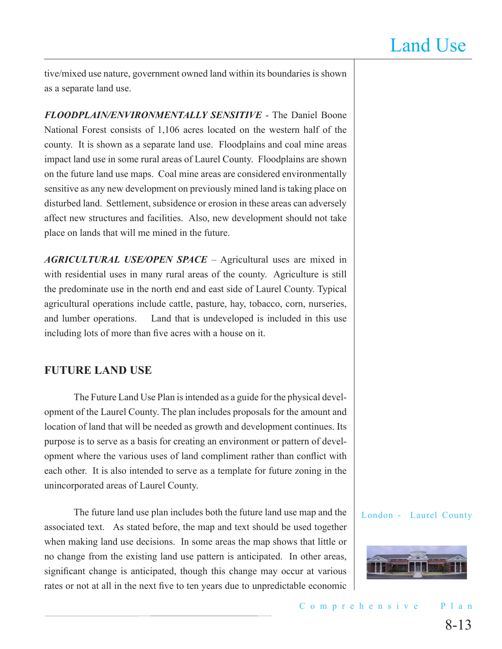tive/mixed use nature, government owned land within its boundaries is shown as a separate land use.

*FLOODPLAIN/ENVIRONMENTALLY SENSITIVE* - The Daniel Boone National Forest consists of 1,106 acres located on the western half of the county. It is shown as a separate land use. Floodplains and coal mine areas impact land use in some rural areas of Laurel County. Floodplains are shown on the future land use maps. Coal mine areas are considered environmentally sensitive as any new development on previously mined land is taking place on disturbed land. Settlement, subsidence or erosion in these areas can adversely affect new structures and facilities. Also, new development should not take place on lands that will me mined in the future.

*AGRICULTURAL USE/OPEN SPACE* – Agricultural uses are mixed in with residential uses in many rural areas of the county. Agriculture is still the predominate use in the north end and east side of Laurel County. Typical agricultural operations include cattle, pasture, hay, tobacco, corn, nurseries, and lumber operations. Land that is undeveloped is included in this use including lots of more than five acres with a house on it.

### **FUTURE LAND USE**

The Future Land Use Plan is intended as a guide for the physical development of the Laurel County. The plan includes proposals for the amount and location of land that will be needed as growth and development continues. Its purpose is to serve as a basis for creating an environment or pattern of development where the various uses of land compliment rather than conflict with each other. It is also intended to serve as a template for future zoning in the unincorporated areas of Laurel County.

The future land use plan includes both the future land use map and the associated text. As stated before, the map and text should be used together when making land use decisions. In some areas the map shows that little or no change from the existing land use pattern is anticipated. In other areas, significant change is anticipated, though this change may occur at various rates or not at all in the next five to ten years due to unpredictable economic

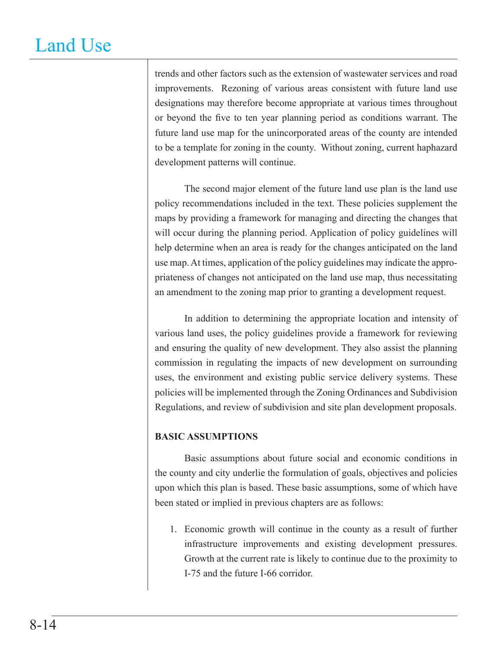trends and other factors such as the extension of wastewater services and road improvements. Rezoning of various areas consistent with future land use designations may therefore become appropriate at various times throughout or beyond the five to ten year planning period as conditions warrant. The future land use map for the unincorporated areas of the county are intended to be a template for zoning in the county. Without zoning, current haphazard development patterns will continue.

The second major element of the future land use plan is the land use policy recommendations included in the text. These policies supplement the maps by providing a framework for managing and directing the changes that will occur during the planning period. Application of policy guidelines will help determine when an area is ready for the changes anticipated on the land use map. At times, application of the policy guidelines may indicate the appropriateness of changes not anticipated on the land use map, thus necessitating an amendment to the zoning map prior to granting a development request.

In addition to determining the appropriate location and intensity of various land uses, the policy guidelines provide a framework for reviewing and ensuring the quality of new development. They also assist the planning commission in regulating the impacts of new development on surrounding uses, the environment and existing public service delivery systems. These policies will be implemented through the Zoning Ordinances and Subdivision Regulations, and review of subdivision and site plan development proposals.

#### **BASIC ASSUMPTIONS**

Basic assumptions about future social and economic conditions in the county and city underlie the formulation of goals, objectives and policies upon which this plan is based. These basic assumptions, some of which have been stated or implied in previous chapters are as follows:

1. Economic growth will continue in the county as a result of further infrastructure improvements and existing development pressures. Growth at the current rate is likely to continue due to the proximity to I-75 and the future I-66 corridor.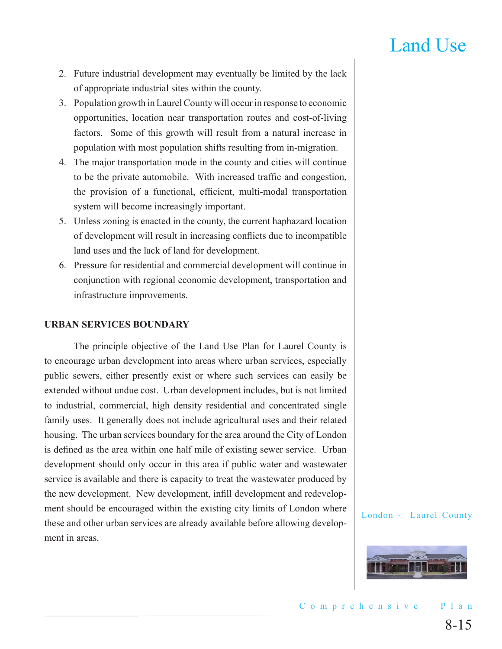- 2. Future industrial development may eventually be limited by the lack of appropriate industrial sites within the county.
- 3. Population growth in Laurel County will occur in response to economic opportunities, location near transportation routes and cost-of-living factors. Some of this growth will result from a natural increase in population with most population shifts resulting from in-migration.
- 4. The major transportation mode in the county and cities will continue to be the private automobile. With increased traffic and congestion, the provision of a functional, efficient, multi-modal transportation system will become increasingly important.
- 5. Unless zoning is enacted in the county, the current haphazard location of development will result in increasing conflicts due to incompatible land uses and the lack of land for development.
- 6. Pressure for residential and commercial development will continue in conjunction with regional economic development, transportation and infrastructure improvements.

#### **URBAN SERVICES BOUNDARY**

The principle objective of the Land Use Plan for Laurel County is to encourage urban development into areas where urban services, especially public sewers, either presently exist or where such services can easily be extended without undue cost. Urban development includes, but is not limited to industrial, commercial, high density residential and concentrated single family uses. It generally does not include agricultural uses and their related housing. The urban services boundary for the area around the City of London is defined as the area within one half mile of existing sewer service. Urban development should only occur in this area if public water and wastewater service is available and there is capacity to treat the wastewater produced by the new development. New development, infill development and redevelopment should be encouraged within the existing city limits of London where these and other urban services are already available before allowing development in areas.

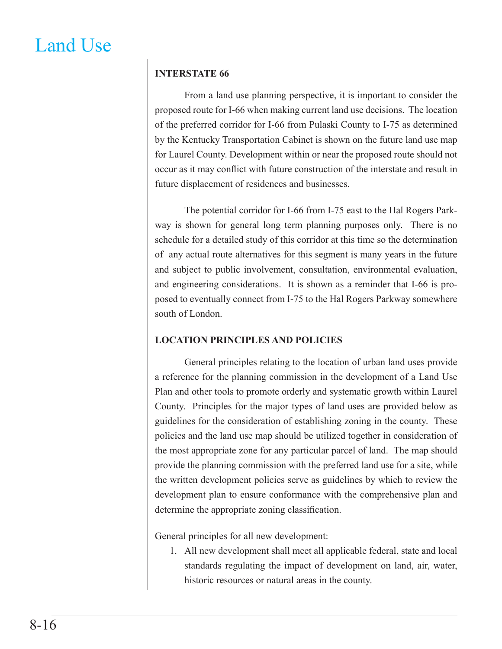### **INTERSTATE 66**

From a land use planning perspective, it is important to consider the proposed route for I-66 when making current land use decisions. The location of the preferred corridor for I-66 from Pulaski County to I-75 as determined by the Kentucky Transportation Cabinet is shown on the future land use map for Laurel County. Development within or near the proposed route should not occur as it may conflict with future construction of the interstate and result in future displacement of residences and businesses.

The potential corridor for I-66 from I-75 east to the Hal Rogers Parkway is shown for general long term planning purposes only. There is no schedule for a detailed study of this corridor at this time so the determination of any actual route alternatives for this segment is many years in the future and subject to public involvement, consultation, environmental evaluation, and engineering considerations. It is shown as a reminder that I-66 is proposed to eventually connect from I-75 to the Hal Rogers Parkway somewhere south of London.

### **LOCATION PRINCIPLES AND POLICIES**

General principles relating to the location of urban land uses provide a reference for the planning commission in the development of a Land Use Plan and other tools to promote orderly and systematic growth within Laurel County. Principles for the major types of land uses are provided below as guidelines for the consideration of establishing zoning in the county. These policies and the land use map should be utilized together in consideration of the most appropriate zone for any particular parcel of land. The map should provide the planning commission with the preferred land use for a site, while the written development policies serve as guidelines by which to review the development plan to ensure conformance with the comprehensive plan and determine the appropriate zoning classification.

General principles for all new development:

1. All new development shall meet all applicable federal, state and local standards regulating the impact of development on land, air, water, historic resources or natural areas in the county.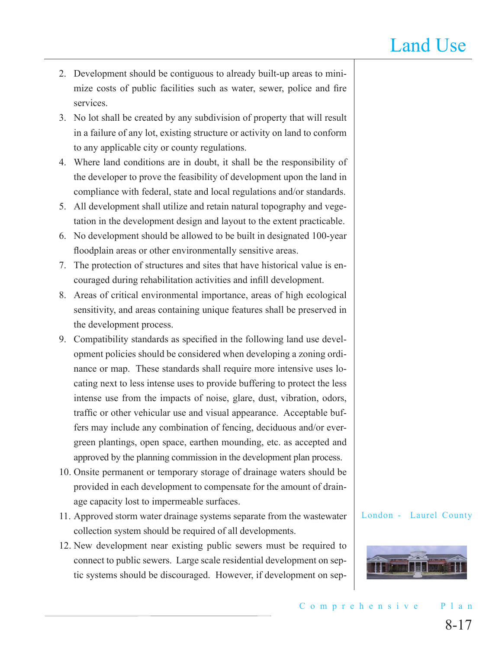- 2. Development should be contiguous to already built-up areas to minimize costs of public facilities such as water, sewer, police and fire services.
- 3. No lot shall be created by any subdivision of property that will result in a failure of any lot, existing structure or activity on land to conform to any applicable city or county regulations.
- 4. Where land conditions are in doubt, it shall be the responsibility of the developer to prove the feasibility of development upon the land in compliance with federal, state and local regulations and/or standards.
- 5. All development shall utilize and retain natural topography and vegetation in the development design and layout to the extent practicable.
- 6. No development should be allowed to be built in designated 100-year floodplain areas or other environmentally sensitive areas.
- 7. The protection of structures and sites that have historical value is encouraged during rehabilitation activities and infill development.
- 8. Areas of critical environmental importance, areas of high ecological sensitivity, and areas containing unique features shall be preserved in the development process.
- 9. Compatibility standards as specified in the following land use development policies should be considered when developing a zoning ordinance or map. These standards shall require more intensive uses locating next to less intense uses to provide buffering to protect the less intense use from the impacts of noise, glare, dust, vibration, odors, traffic or other vehicular use and visual appearance. Acceptable buffers may include any combination of fencing, deciduous and/or evergreen plantings, open space, earthen mounding, etc. as accepted and approved by the planning commission in the development plan process.
- 10. Onsite permanent or temporary storage of drainage waters should be provided in each development to compensate for the amount of drainage capacity lost to impermeable surfaces.
- 11. Approved storm water drainage systems separate from the wastewater collection system should be required of all developments.
- 12. New development near existing public sewers must be required to connect to public sewers. Large scale residential development on septic systems should be discouraged. However, if development on sep-

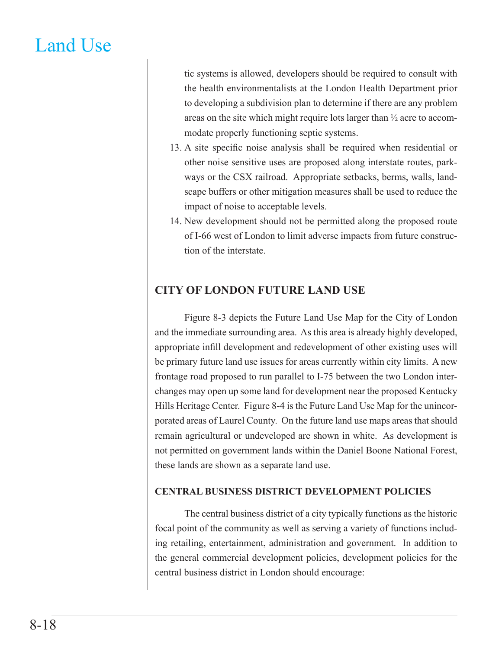tic systems is allowed, developers should be required to consult with the health environmentalists at the London Health Department prior to developing a subdivision plan to determine if there are any problem areas on the site which might require lots larger than ½ acre to accommodate properly functioning septic systems.

- 13. A site specific noise analysis shall be required when residential or other noise sensitive uses are proposed along interstate routes, parkways or the CSX railroad. Appropriate setbacks, berms, walls, landscape buffers or other mitigation measures shall be used to reduce the impact of noise to acceptable levels.
- 14. New development should not be permitted along the proposed route of I-66 west of London to limit adverse impacts from future construction of the interstate.

### **CITY OF LONDON FUTURE LAND USE**

Figure 8-3 depicts the Future Land Use Map for the City of London and the immediate surrounding area. As this area is already highly developed, appropriate infill development and redevelopment of other existing uses will be primary future land use issues for areas currently within city limits. A new frontage road proposed to run parallel to I-75 between the two London interchanges may open up some land for development near the proposed Kentucky Hills Heritage Center. Figure 8-4 is the Future Land Use Map for the unincorporated areas of Laurel County. On the future land use maps areas that should remain agricultural or undeveloped are shown in white. As development is not permitted on government lands within the Daniel Boone National Forest, these lands are shown as a separate land use.

### **CENTRAL BUSINESS DISTRICT DEVELOPMENT POLICIES**

The central business district of a city typically functions as the historic focal point of the community as well as serving a variety of functions including retailing, entertainment, administration and government. In addition to the general commercial development policies, development policies for the central business district in London should encourage: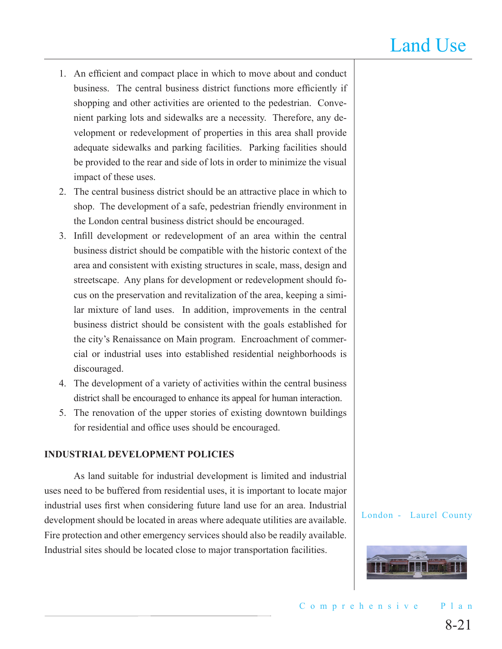- 1. An efficient and compact place in which to move about and conduct business. The central business district functions more efficiently if shopping and other activities are oriented to the pedestrian. Convenient parking lots and sidewalks are a necessity. Therefore, any development or redevelopment of properties in this area shall provide adequate sidewalks and parking facilities. Parking facilities should be provided to the rear and side of lots in order to minimize the visual impact of these uses.
- 2. The central business district should be an attractive place in which to shop. The development of a safe, pedestrian friendly environment in the London central business district should be encouraged.
- 3. Infill development or redevelopment of an area within the central business district should be compatible with the historic context of the area and consistent with existing structures in scale, mass, design and streetscape. Any plans for development or redevelopment should focus on the preservation and revitalization of the area, keeping a similar mixture of land uses. In addition, improvements in the central business district should be consistent with the goals established for the city's Renaissance on Main program. Encroachment of commercial or industrial uses into established residential neighborhoods is discouraged.
- 4. The development of a variety of activities within the central business district shall be encouraged to enhance its appeal for human interaction.
- 5. The renovation of the upper stories of existing downtown buildings for residential and office uses should be encouraged.

#### **INDUSTRIAL DEVELOPMENT POLICIES**

As land suitable for industrial development is limited and industrial uses need to be buffered from residential uses, it is important to locate major industrial uses first when considering future land use for an area. Industrial development should be located in areas where adequate utilities are available. Fire protection and other emergency services should also be readily available. Industrial sites should be located close to major transportation facilities.

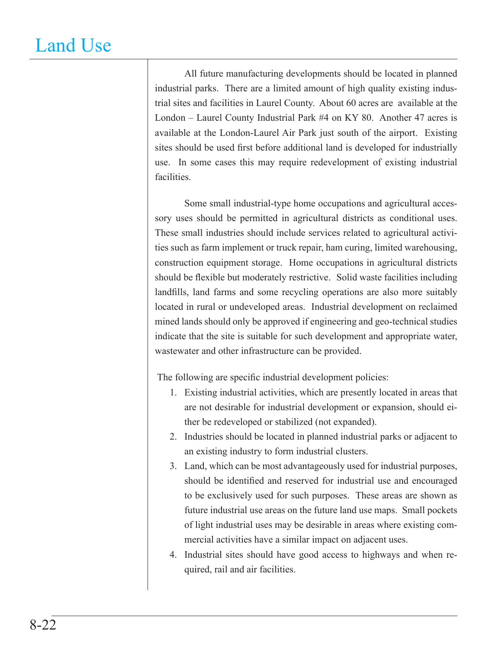All future manufacturing developments should be located in planned industrial parks. There are a limited amount of high quality existing industrial sites and facilities in Laurel County. About 60 acres are available at the London – Laurel County Industrial Park #4 on KY 80. Another 47 acres is available at the London-Laurel Air Park just south of the airport. Existing sites should be used first before additional land is developed for industrially use. In some cases this may require redevelopment of existing industrial facilities.

Some small industrial-type home occupations and agricultural accessory uses should be permitted in agricultural districts as conditional uses. These small industries should include services related to agricultural activities such as farm implement or truck repair, ham curing, limited warehousing, construction equipment storage. Home occupations in agricultural districts should be flexible but moderately restrictive. Solid waste facilities including landfills, land farms and some recycling operations are also more suitably located in rural or undeveloped areas. Industrial development on reclaimed mined lands should only be approved if engineering and geo-technical studies indicate that the site is suitable for such development and appropriate water, wastewater and other infrastructure can be provided.

The following are specific industrial development policies:

- 1. Existing industrial activities, which are presently located in areas that are not desirable for industrial development or expansion, should either be redeveloped or stabilized (not expanded).
- 2. Industries should be located in planned industrial parks or adjacent to an existing industry to form industrial clusters.
- 3. Land, which can be most advantageously used for industrial purposes, should be identified and reserved for industrial use and encouraged to be exclusively used for such purposes. These areas are shown as future industrial use areas on the future land use maps. Small pockets of light industrial uses may be desirable in areas where existing commercial activities have a similar impact on adjacent uses.
- 4. Industrial sites should have good access to highways and when required, rail and air facilities.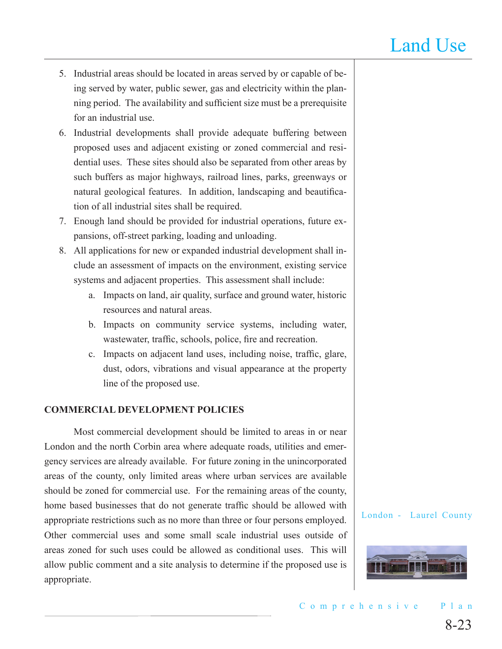- 5. Industrial areas should be located in areas served by or capable of being served by water, public sewer, gas and electricity within the planning period. The availability and sufficient size must be a prerequisite for an industrial use.
- 6. Industrial developments shall provide adequate buffering between proposed uses and adjacent existing or zoned commercial and residential uses. These sites should also be separated from other areas by such buffers as major highways, railroad lines, parks, greenways or natural geological features. In addition, landscaping and beautification of all industrial sites shall be required.
- 7. Enough land should be provided for industrial operations, future expansions, off-street parking, loading and unloading.
- 8. All applications for new or expanded industrial development shall include an assessment of impacts on the environment, existing service systems and adjacent properties. This assessment shall include:
	- a. Impacts on land, air quality, surface and ground water, historic resources and natural areas.
	- b. Impacts on community service systems, including water, wastewater, traffic, schools, police, fire and recreation.
	- c. Impacts on adjacent land uses, including noise, traffic, glare, dust, odors, vibrations and visual appearance at the property line of the proposed use.

### **COMMERCIAL DEVELOPMENT POLICIES**

Most commercial development should be limited to areas in or near London and the north Corbin area where adequate roads, utilities and emergency services are already available. For future zoning in the unincorporated areas of the county, only limited areas where urban services are available should be zoned for commercial use. For the remaining areas of the county, home based businesses that do not generate traffic should be allowed with appropriate restrictions such as no more than three or four persons employed. Other commercial uses and some small scale industrial uses outside of areas zoned for such uses could be allowed as conditional uses. This will allow public comment and a site analysis to determine if the proposed use is appropriate.

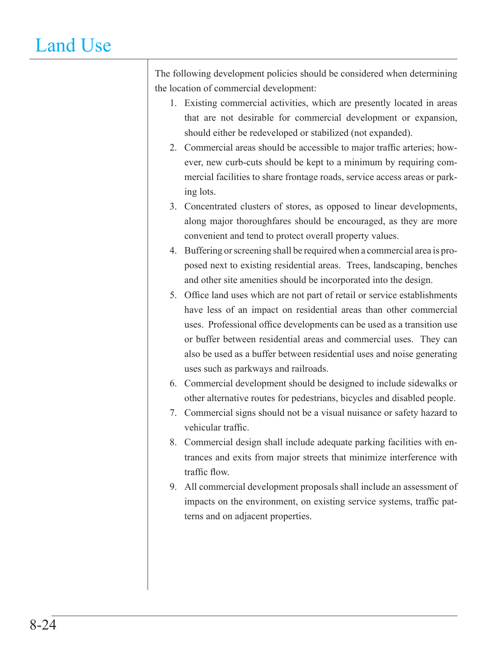The following development policies should be considered when determining the location of commercial development:

- 1. Existing commercial activities, which are presently located in areas that are not desirable for commercial development or expansion, should either be redeveloped or stabilized (not expanded).
- 2. Commercial areas should be accessible to major traffic arteries; however, new curb-cuts should be kept to a minimum by requiring commercial facilities to share frontage roads, service access areas or parking lots.
- 3. Concentrated clusters of stores, as opposed to linear developments, along major thoroughfares should be encouraged, as they are more convenient and tend to protect overall property values.
- 4. Buffering or screening shall be required when a commercial area is proposed next to existing residential areas. Trees, landscaping, benches and other site amenities should be incorporated into the design.
- 5. Office land uses which are not part of retail or service establishments have less of an impact on residential areas than other commercial uses. Professional office developments can be used as a transition use or buffer between residential areas and commercial uses. They can also be used as a buffer between residential uses and noise generating uses such as parkways and railroads.
- 6. Commercial development should be designed to include sidewalks or other alternative routes for pedestrians, bicycles and disabled people.
- 7. Commercial signs should not be a visual nuisance or safety hazard to vehicular traffic.
- 8. Commercial design shall include adequate parking facilities with entrances and exits from major streets that minimize interference with traffic flow.
- 9. All commercial development proposals shall include an assessment of impacts on the environment, on existing service systems, traffic patterns and on adjacent properties.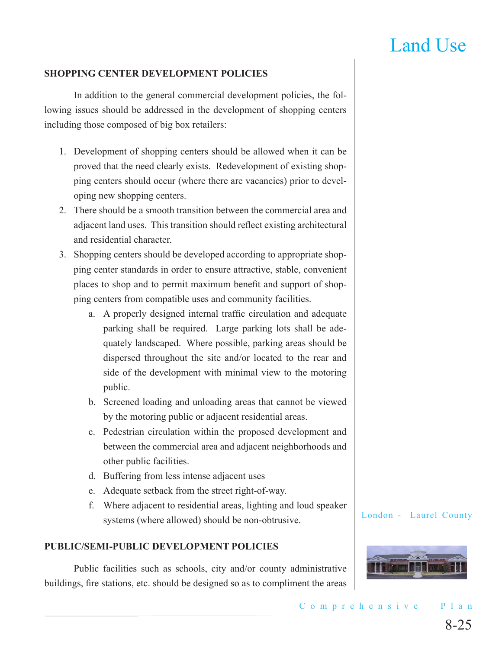#### **SHOPPING CENTER DEVELOPMENT POLICIES**

In addition to the general commercial development policies, the following issues should be addressed in the development of shopping centers including those composed of big box retailers:

- 1. Development of shopping centers should be allowed when it can be proved that the need clearly exists. Redevelopment of existing shopping centers should occur (where there are vacancies) prior to developing new shopping centers.
- 2. There should be a smooth transition between the commercial area and adjacent land uses. This transition should reflect existing architectural and residential character.
- 3. Shopping centers should be developed according to appropriate shopping center standards in order to ensure attractive, stable, convenient places to shop and to permit maximum benefit and support of shopping centers from compatible uses and community facilities.
	- a. A properly designed internal traffic circulation and adequate parking shall be required. Large parking lots shall be adequately landscaped. Where possible, parking areas should be dispersed throughout the site and/or located to the rear and side of the development with minimal view to the motoring public.
	- b. Screened loading and unloading areas that cannot be viewed by the motoring public or adjacent residential areas.
	- c. Pedestrian circulation within the proposed development and between the commercial area and adjacent neighborhoods and other public facilities.
	- d. Buffering from less intense adjacent uses
	- e. Adequate setback from the street right-of-way.
	- f. Where adjacent to residential areas, lighting and loud speaker systems (where allowed) should be non-obtrusive.

#### **PUBLIC/SEMI-PUBLIC DEVELOPMENT POLICIES**

Public facilities such as schools, city and/or county administrative buildings, fire stations, etc. should be designed so as to compliment the areas

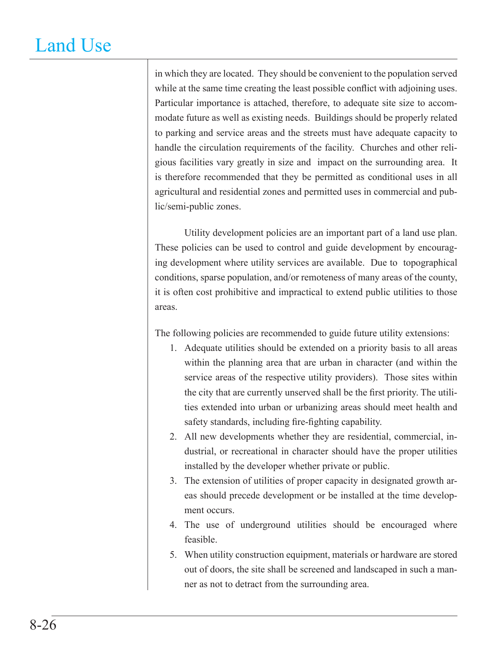in which they are located. They should be convenient to the population served while at the same time creating the least possible conflict with adjoining uses. Particular importance is attached, therefore, to adequate site size to accommodate future as well as existing needs. Buildings should be properly related to parking and service areas and the streets must have adequate capacity to handle the circulation requirements of the facility. Churches and other religious facilities vary greatly in size and impact on the surrounding area. It is therefore recommended that they be permitted as conditional uses in all agricultural and residential zones and permitted uses in commercial and public/semi-public zones.

Utility development policies are an important part of a land use plan. These policies can be used to control and guide development by encouraging development where utility services are available. Due to topographical conditions, sparse population, and/or remoteness of many areas of the county, it is often cost prohibitive and impractical to extend public utilities to those areas.

The following policies are recommended to guide future utility extensions:

- 1. Adequate utilities should be extended on a priority basis to all areas within the planning area that are urban in character (and within the service areas of the respective utility providers). Those sites within the city that are currently unserved shall be the first priority. The utilities extended into urban or urbanizing areas should meet health and safety standards, including fire-fighting capability.
- 2. All new developments whether they are residential, commercial, industrial, or recreational in character should have the proper utilities installed by the developer whether private or public.
- 3. The extension of utilities of proper capacity in designated growth areas should precede development or be installed at the time development occurs.
- 4. The use of underground utilities should be encouraged where feasible.
- 5. When utility construction equipment, materials or hardware are stored out of doors, the site shall be screened and landscaped in such a manner as not to detract from the surrounding area.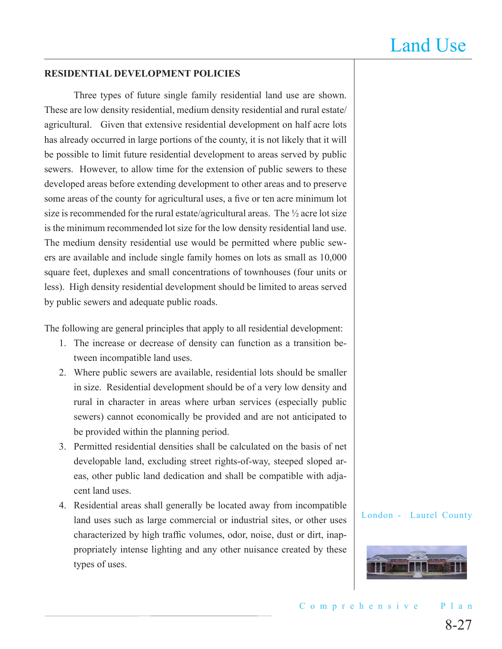#### **RESIDENTIAL DEVELOPMENT POLICIES**

Three types of future single family residential land use are shown. These are low density residential, medium density residential and rural estate/ agricultural. Given that extensive residential development on half acre lots has already occurred in large portions of the county, it is not likely that it will be possible to limit future residential development to areas served by public sewers. However, to allow time for the extension of public sewers to these developed areas before extending development to other areas and to preserve some areas of the county for agricultural uses, a five or ten acre minimum lot size is recommended for the rural estate/agricultural areas. The ½ acre lot size is the minimum recommended lot size for the low density residential land use. The medium density residential use would be permitted where public sewers are available and include single family homes on lots as small as 10,000 square feet, duplexes and small concentrations of townhouses (four units or less). High density residential development should be limited to areas served by public sewers and adequate public roads.

The following are general principles that apply to all residential development:

- 1. The increase or decrease of density can function as a transition between incompatible land uses.
- 2. Where public sewers are available, residential lots should be smaller in size. Residential development should be of a very low density and rural in character in areas where urban services (especially public sewers) cannot economically be provided and are not anticipated to be provided within the planning period.
- 3. Permitted residential densities shall be calculated on the basis of net developable land, excluding street rights-of-way, steeped sloped areas, other public land dedication and shall be compatible with adjacent land uses.
- 4. Residential areas shall generally be located away from incompatible land uses such as large commercial or industrial sites, or other uses characterized by high traffic volumes, odor, noise, dust or dirt, inappropriately intense lighting and any other nuisance created by these types of uses.

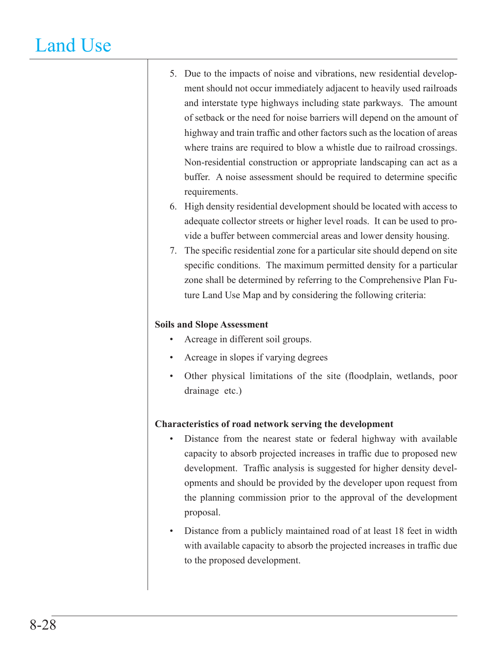- 5. Due to the impacts of noise and vibrations, new residential development should not occur immediately adjacent to heavily used railroads and interstate type highways including state parkways. The amount of setback or the need for noise barriers will depend on the amount of highway and train traffic and other factors such as the location of areas where trains are required to blow a whistle due to railroad crossings. Non-residential construction or appropriate landscaping can act as a buffer. A noise assessment should be required to determine specific requirements.
- 6. High density residential development should be located with access to adequate collector streets or higher level roads. It can be used to provide a buffer between commercial areas and lower density housing.
- 7. The specific residential zone for a particular site should depend on site specific conditions. The maximum permitted density for a particular zone shall be determined by referring to the Comprehensive Plan Future Land Use Map and by considering the following criteria:

### **Soils and Slope Assessment**

- Acreage in different soil groups. •
- Acreage in slopes if varying degrees •
- Other physical limitations of the site (floodplain, wetlands, poor drainage etc.) •

### **Characteristics of road network serving the development**

- Distance from the nearest state or federal highway with available capacity to absorb projected increases in traffic due to proposed new development. Traffic analysis is suggested for higher density developments and should be provided by the developer upon request from the planning commission prior to the approval of the development proposal. •
- Distance from a publicly maintained road of at least 18 feet in width with available capacity to absorb the projected increases in traffic due to the proposed development. •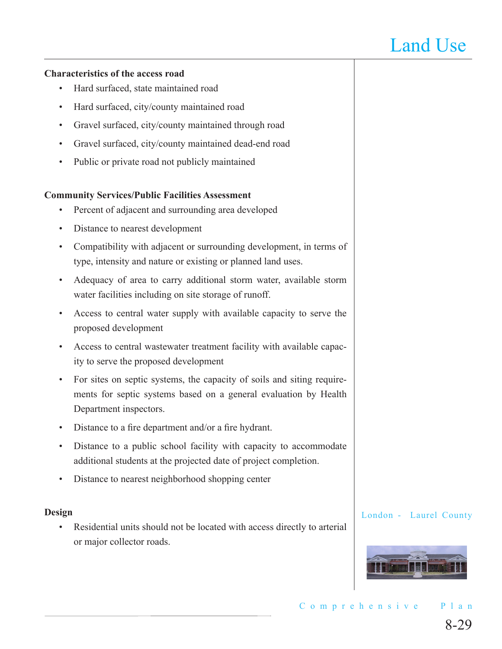#### **Characteristics of the access road**

- Hard surfaced, state maintained road •
- Hard surfaced, city/county maintained road •
- Gravel surfaced, city/county maintained through road •
- Gravel surfaced, city/county maintained dead-end road •
- Public or private road not publicly maintained •

#### **Community Services/Public Facilities Assessment**

- Percent of adjacent and surrounding area developed •
- Distance to nearest development •
- Compatibility with adjacent or surrounding development, in terms of type, intensity and nature or existing or planned land uses. •
- Adequacy of area to carry additional storm water, available storm water facilities including on site storage of runoff. •
- Access to central water supply with available capacity to serve the proposed development •
- Access to central wastewater treatment facility with available capac-• ity to serve the proposed development
- For sites on septic systems, the capacity of soils and siting requirements for septic systems based on a general evaluation by Health Department inspectors. •
- Distance to a fire department and/or a fire hydrant. •
- Distance to a public school facility with capacity to accommodate additional students at the projected date of project completion. •
- Distance to nearest neighborhood shopping center •

#### **Design**

Residential units should not be located with access directly to arterial or major collector roads. •

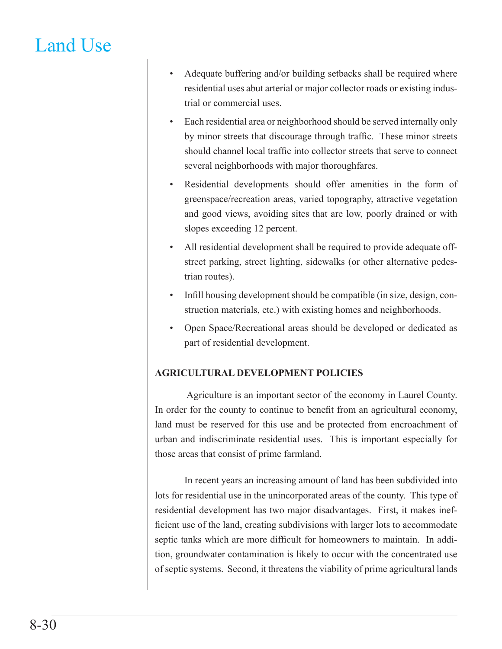- Adequate buffering and/or building setbacks shall be required where residential uses abut arterial or major collector roads or existing industrial or commercial uses. •
- Each residential area or neighborhood should be served internally only by minor streets that discourage through traffic. These minor streets should channel local traffic into collector streets that serve to connect several neighborhoods with major thoroughfares. •
- Residential developments should offer amenities in the form of greenspace/recreation areas, varied topography, attractive vegetation and good views, avoiding sites that are low, poorly drained or with slopes exceeding 12 percent. •
- All residential development shall be required to provide adequate offstreet parking, street lighting, sidewalks (or other alternative pedestrian routes). •
- Infill housing development should be compatible (in size, design, construction materials, etc.) with existing homes and neighborhoods. •
- Open Space/Recreational areas should be developed or dedicated as part of residential development. •

### **AGRICULTURAL DEVELOPMENT POLICIES**

 Agriculture is an important sector of the economy in Laurel County. In order for the county to continue to benefit from an agricultural economy, land must be reserved for this use and be protected from encroachment of urban and indiscriminate residential uses. This is important especially for those areas that consist of prime farmland.

In recent years an increasing amount of land has been subdivided into lots for residential use in the unincorporated areas of the county. This type of residential development has two major disadvantages. First, it makes inefficient use of the land, creating subdivisions with larger lots to accommodate septic tanks which are more difficult for homeowners to maintain. In addition, groundwater contamination is likely to occur with the concentrated use of septic systems. Second, it threatens the viability of prime agricultural lands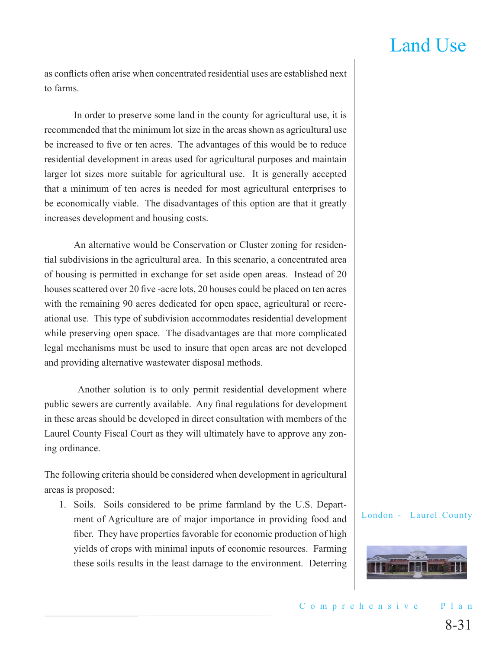as conflicts often arise when concentrated residential uses are established next to farms.

In order to preserve some land in the county for agricultural use, it is recommended that the minimum lot size in the areas shown as agricultural use be increased to five or ten acres. The advantages of this would be to reduce residential development in areas used for agricultural purposes and maintain larger lot sizes more suitable for agricultural use. It is generally accepted that a minimum of ten acres is needed for most agricultural enterprises to be economically viable. The disadvantages of this option are that it greatly increases development and housing costs.

An alternative would be Conservation or Cluster zoning for residential subdivisions in the agricultural area. In this scenario, a concentrated area of housing is permitted in exchange for set aside open areas. Instead of 20 houses scattered over 20 five -acre lots, 20 houses could be placed on ten acres with the remaining 90 acres dedicated for open space, agricultural or recreational use. This type of subdivision accommodates residential development while preserving open space. The disadvantages are that more complicated legal mechanisms must be used to insure that open areas are not developed and providing alternative wastewater disposal methods.

Another solution is to only permit residential development where public sewers are currently available. Any final regulations for development in these areas should be developed in direct consultation with members of the Laurel County Fiscal Court as they will ultimately have to approve any zoning ordinance.

The following criteria should be considered when development in agricultural areas is proposed:

1. Soils. Soils considered to be prime farmland by the U.S. Department of Agriculture are of major importance in providing food and fiber. They have properties favorable for economic production of high yields of crops with minimal inputs of economic resources. Farming these soils results in the least damage to the environment. Deterring

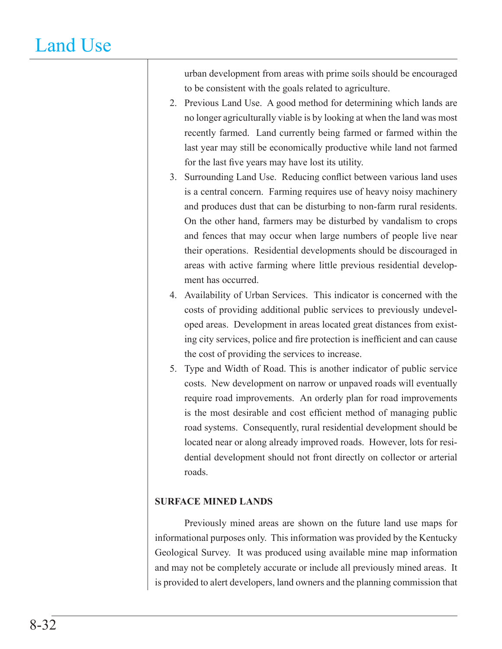urban development from areas with prime soils should be encouraged to be consistent with the goals related to agriculture.

- 2. Previous Land Use. A good method for determining which lands are no longer agriculturally viable is by looking at when the land was most recently farmed. Land currently being farmed or farmed within the last year may still be economically productive while land not farmed for the last five years may have lost its utility.
- 3. Surrounding Land Use. Reducing conflict between various land uses is a central concern. Farming requires use of heavy noisy machinery and produces dust that can be disturbing to non-farm rural residents. On the other hand, farmers may be disturbed by vandalism to crops and fences that may occur when large numbers of people live near their operations. Residential developments should be discouraged in areas with active farming where little previous residential development has occurred.
- 4. Availability of Urban Services. This indicator is concerned with the costs of providing additional public services to previously undeveloped areas. Development in areas located great distances from existing city services, police and fire protection is inefficient and can cause the cost of providing the services to increase.
- 5. Type and Width of Road. This is another indicator of public service costs. New development on narrow or unpaved roads will eventually require road improvements. An orderly plan for road improvements is the most desirable and cost efficient method of managing public road systems. Consequently, rural residential development should be located near or along already improved roads. However, lots for residential development should not front directly on collector or arterial roads.

### **SURFACE MINED LANDS**

Previously mined areas are shown on the future land use maps for informational purposes only. This information was provided by the Kentucky Geological Survey. It was produced using available mine map information and may not be completely accurate or include all previously mined areas. It is provided to alert developers, land owners and the planning commission that